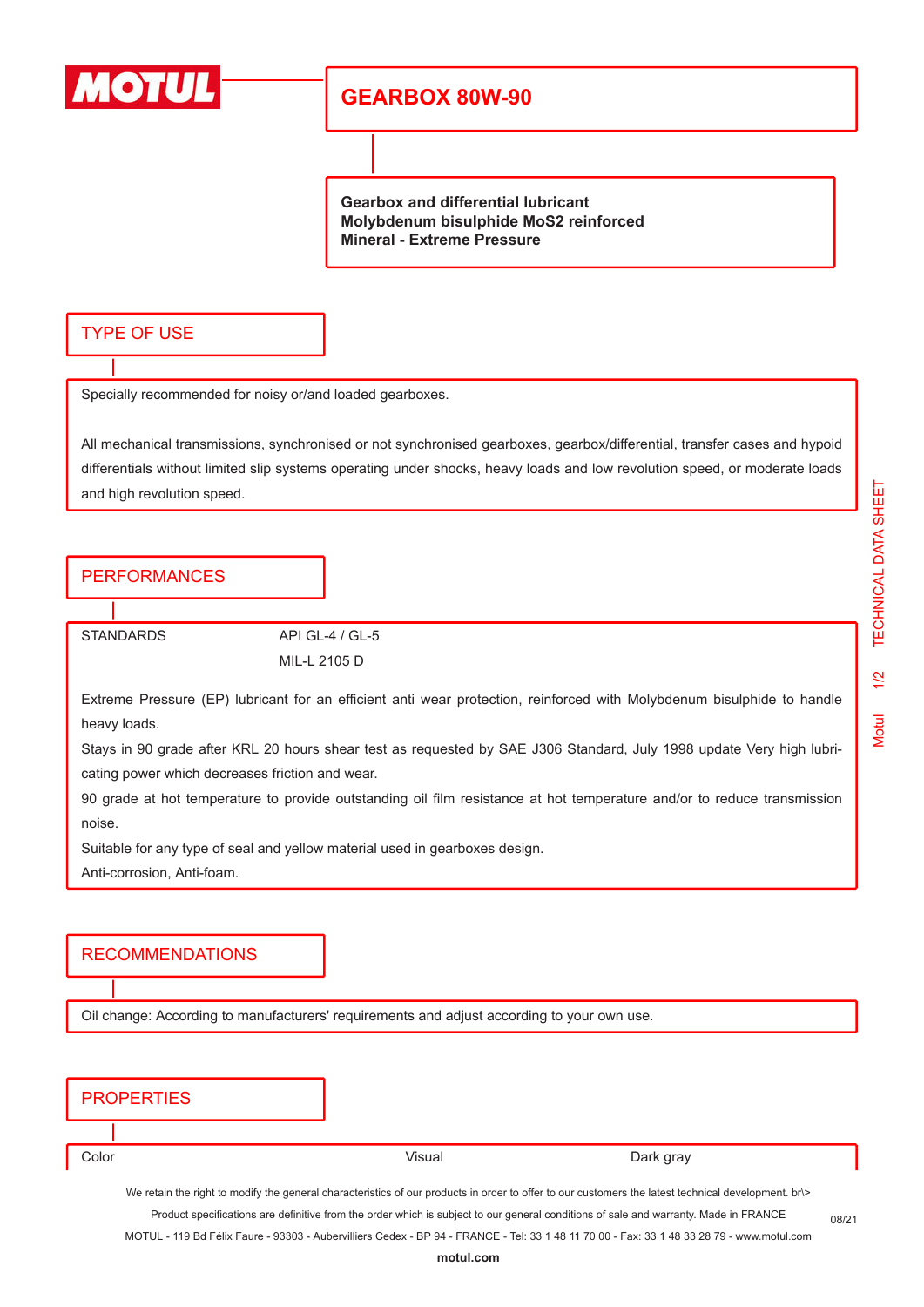

# **GEARBOX 80W-90**

**Gearbox and differential lubricant Molybdenum bisulphide MoS2 reinforced Mineral - Extreme Pressure**

### TYPE OF USE

Specially recommended for noisy or/and loaded gearboxes.

All mechanical transmissions, synchronised or not synchronised gearboxes, gearbox/differential, transfer cases and hypoid differentials without limited slip systems operating under shocks, heavy loads and low revolution speed, or moderate loads and high revolution speed.

### **PERFORMANCES**

STANDARDS API GL-4 / GL-5 MIL-L 2105 D

Extreme Pressure (EP) lubricant for an efficient anti wear protection, reinforced with Molybdenum bisulphide to handle heavy loads.

Stays in 90 grade after KRL 20 hours shear test as requested by SAE J306 Standard, July 1998 update Very high lubricating power which decreases friction and wear.

90 grade at hot temperature to provide outstanding oil film resistance at hot temperature and/or to reduce transmission noise.

Suitable for any type of seal and yellow material used in gearboxes design.

Anti-corrosion, Anti-foam.

#### RECOMMENDATIONS

Oil change: According to manufacturers' requirements and adjust according to your own use.

|       | <b>PROPERTIES</b>                                                                                                                                  |        |           |  |  |
|-------|----------------------------------------------------------------------------------------------------------------------------------------------------|--------|-----------|--|--|
|       |                                                                                                                                                    |        |           |  |  |
| Color |                                                                                                                                                    | Visual | Dark gray |  |  |
|       | We retain the right to modify the general characteristics of our products in order to offer to our customers the latest technical development. br> |        |           |  |  |

Product specifications are definitive from the order which is subject to our general conditions of sale and warranty. Made in FRANCE MOTUL - 119 Bd Félix Faure - 93303 - Aubervilliers Cedex - BP 94 - FRANCE - Tel: 33 1 48 11 70 00 - Fax: 33 1 48 33 28 79 - www.motul.com

08/21